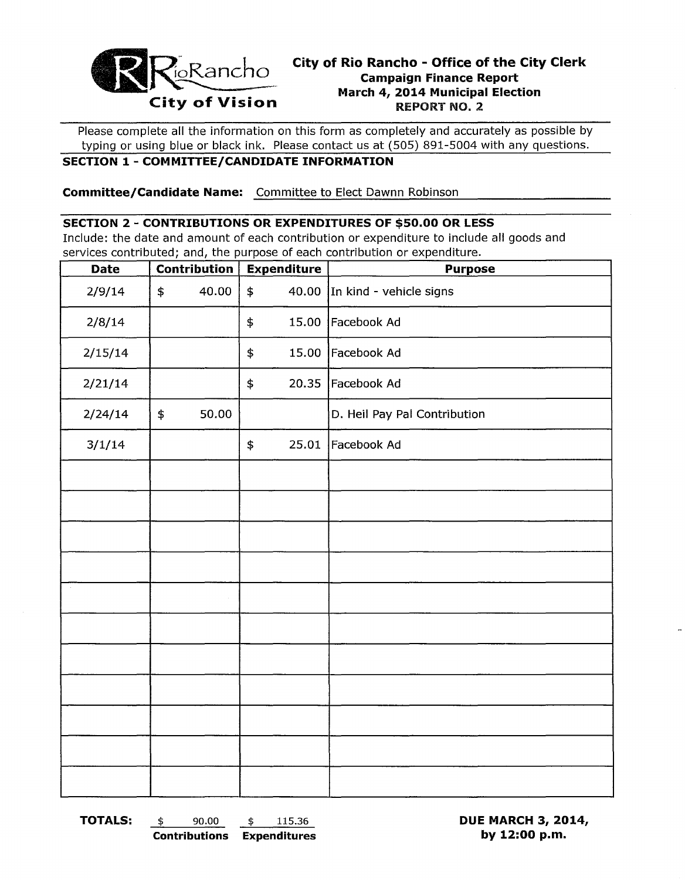

# **City of Rio Rancho - Office of the City Clerk Campaign Finance Report March 4, 2014 Municipal Election**

Please complete all the information on this form as completely and accurately as possible by typing or using blue or black ink. Please contact us at (505) 891-5004 with any questions.

### **SECTION 1- COMMITTEE/CANDIDATE INFORMATION**

**Committee/Candidate Name:** Committee to Elect Dawnn Robinson

#### **SECTION 2 - CONTRIBUTIONS OR EXPENDITURES OF \$50.00 OR LESS**

Include: the date and amount of each contribution or expenditure to include all goods and services contributed; and, the purpose of each contribution or expenditure.

| <b>Date</b> | <b>Contribution</b> |       | <b>Expenditure</b> | <b>Purpose</b>               |  |  |
|-------------|---------------------|-------|--------------------|------------------------------|--|--|
| 2/9/14      | \$                  | 40.00 | \$<br>40.00        | In kind - vehicle signs      |  |  |
| 2/8/14      |                     |       | 15.00<br>\$        | Facebook Ad                  |  |  |
| 2/15/14     |                     |       | 15.00<br>\$        | Facebook Ad                  |  |  |
| 2/21/14     |                     |       | \$<br>20.35        | Facebook Ad                  |  |  |
| 2/24/14     | \$                  | 50.00 |                    | D. Heil Pay Pal Contribution |  |  |
| 3/1/14      |                     |       | 25.01<br>\$        | Facebook Ad                  |  |  |
|             |                     |       |                    |                              |  |  |
|             |                     |       |                    |                              |  |  |
|             |                     |       |                    |                              |  |  |
|             |                     |       |                    |                              |  |  |
|             |                     |       |                    |                              |  |  |
|             |                     |       |                    |                              |  |  |
|             |                     |       |                    |                              |  |  |
|             |                     |       |                    |                              |  |  |
|             |                     |       |                    |                              |  |  |
|             |                     |       |                    |                              |  |  |
|             |                     |       |                    |                              |  |  |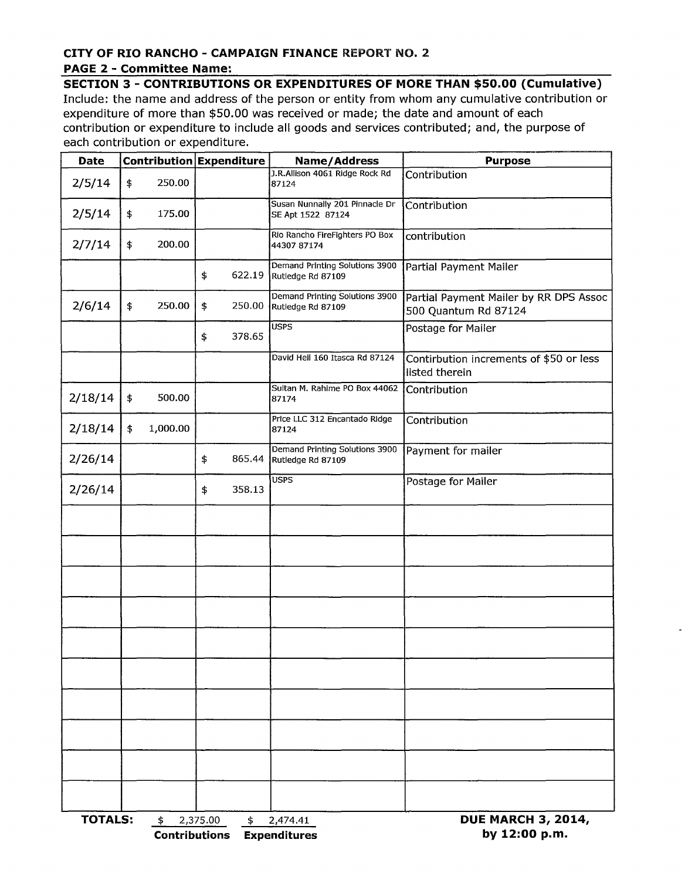#### **CITY OF RIO RANCHO - CAMPAIGN FINANCE** REPORT NO.2 **PAGE 2 - Committee Name:**

**SECTION 3 - CONTRIBUTIONS OR EXPENDITURES OF MORE THAN \$50.00 (Cumulative)** 

Include: the name and address of the person or entity from whom any cumulative contribution or expenditure of more than \$50.00 was received or made; the date and amount of each contribution or expenditure to include all goods and services contributed; and, the purpose of each contribution or expenditure.

| <b>Date</b>          |    |                      | Contribution Expenditure | <b>Name/Address</b>                                 | <b>Purpose</b>                                                 |  |  |
|----------------------|----|----------------------|--------------------------|-----------------------------------------------------|----------------------------------------------------------------|--|--|
| 2/5/14               | \$ | 250.00               |                          | J.R.Allison 4061 Ridge Rock Rd<br>87124             | Contribution                                                   |  |  |
| 2/5/14               | \$ | 175.00               |                          | Susan Nunnally 201 Pinnacle Dr<br>SE Apt 1522 87124 | Contribution                                                   |  |  |
| 2/7/14               | \$ | 200.00               |                          | Rio Rancho FireFighters PO Box<br>44307 87174       | contribution                                                   |  |  |
|                      |    |                      | \$<br>622.19             | Demand Printing Solutions 3900<br>Rutledge Rd 87109 | Partial Payment Mailer                                         |  |  |
| 2/6/14               | \$ | 250.00               | \$<br>250.00             | Demand Printing Solutions 3900<br>Rutledge Rd 87109 | Partial Payment Mailer by RR DPS Assoc<br>500 Quantum Rd 87124 |  |  |
|                      |    |                      | 378.65<br>\$             | <b>USPS</b>                                         | Postage for Mailer                                             |  |  |
|                      |    |                      |                          | David Heil 160 Itasca Rd 87124                      | Contirbution increments of \$50 or less<br>listed therein      |  |  |
| 2/18/14              | \$ | 500.00               |                          | Sultan M. Rahime PO Box 44062<br>87174              | Contribution                                                   |  |  |
| 2/18/14              | \$ | 1,000.00             |                          | Price LLC 312 Encantado Ridge<br>87124              | Contribution                                                   |  |  |
| 2/26/14              |    |                      | \$<br>865.44             | Demand Printing Solutions 3900<br>Rutledge Rd 87109 | Payment for mailer                                             |  |  |
| 2/26/14              |    |                      | 358.13<br>\$             | <b>USPS</b>                                         | Postage for Mailer                                             |  |  |
|                      |    |                      |                          |                                                     |                                                                |  |  |
|                      |    |                      |                          |                                                     |                                                                |  |  |
|                      |    |                      |                          |                                                     |                                                                |  |  |
|                      |    |                      |                          |                                                     |                                                                |  |  |
|                      |    |                      |                          |                                                     |                                                                |  |  |
|                      |    |                      |                          |                                                     |                                                                |  |  |
|                      |    |                      |                          |                                                     |                                                                |  |  |
|                      |    |                      |                          |                                                     |                                                                |  |  |
|                      |    |                      |                          |                                                     |                                                                |  |  |
|                      |    |                      |                          |                                                     |                                                                |  |  |
| <b>TOTALS:</b><br>\$ |    | <b>Contributions</b> | 2,375.00<br>\$           | 2,474.41<br><b>Expenditures</b>                     | <b>DUE MARCH 3, 2014,</b><br>by 12:00 p.m.                     |  |  |